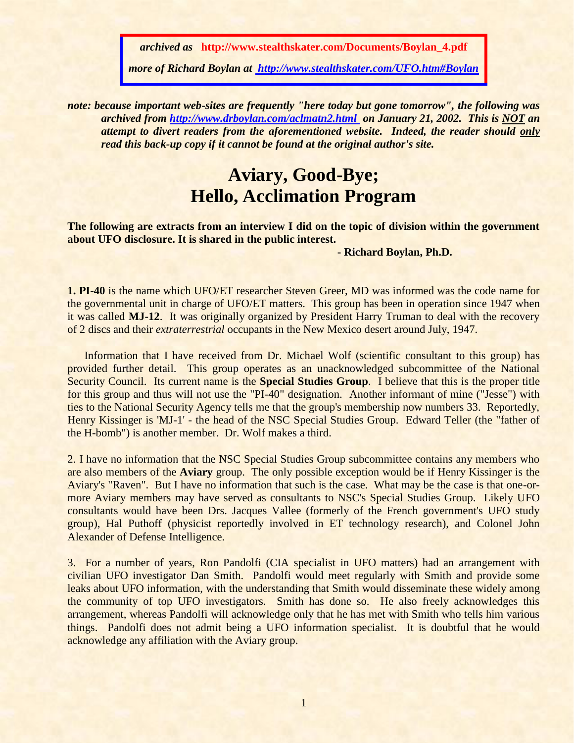*archived as* **http://www.stealthskater.com/Documents/Boylan\_4.pdf**

*more of Richard Boylan at [http://www.stealthskater.com/UFO.htm#Boylan](http://www.stealthskater.com/Science.htm#Baker)*

*note: because important web-sites are frequently "here today but gone tomorrow", the following was archived from <http://www.drboylan.com/aclmatn2.html>on January 21, 2002. This is NOT an attempt to divert readers from the aforementioned website. Indeed, the reader should only read this back-up copy if it cannot be found at the original author's site.*

## **Aviary, Good-Bye; Hello, Acclimation Program**

**The following are extracts from an interview I did on the topic of division within the government about UFO disclosure. It is shared in the public interest.**

**- Richard Boylan, Ph.D.**

**1. PI-40** is the name which UFO/ET researcher Steven Greer, MD was informed was the code name for the governmental unit in charge of UFO/ET matters. This group has been in operation since 1947 when it was called **MJ-12**. It was originally organized by President Harry Truman to deal with the recovery of 2 discs and their *extraterrestrial* occupants in the New Mexico desert around July, 1947.

Information that I have received from Dr. Michael Wolf (scientific consultant to this group) has provided further detail. This group operates as an unacknowledged subcommittee of the National Security Council. Its current name is the **Special Studies Group**. I believe that this is the proper title for this group and thus will not use the "PI-40" designation. Another informant of mine ("Jesse") with ties to the National Security Agency tells me that the group's membership now numbers 33. Reportedly, Henry Kissinger is 'MJ-1' - the head of the NSC Special Studies Group. Edward Teller (the "father of the H-bomb") is another member. Dr. Wolf makes a third.

2. I have no information that the NSC Special Studies Group subcommittee contains any members who are also members of the **Aviary** group. The only possible exception would be if Henry Kissinger is the Aviary's "Raven". But I have no information that such is the case. What may be the case is that one-ormore Aviary members may have served as consultants to NSC's Special Studies Group. Likely UFO consultants would have been Drs. Jacques Vallee (formerly of the French government's UFO study group), Hal Puthoff (physicist reportedly involved in ET technology research), and Colonel John Alexander of Defense Intelligence.

3. For a number of years, Ron Pandolfi (CIA specialist in UFO matters) had an arrangement with civilian UFO investigator Dan Smith. Pandolfi would meet regularly with Smith and provide some leaks about UFO information, with the understanding that Smith would disseminate these widely among the community of top UFO investigators. Smith has done so. He also freely acknowledges this arrangement, whereas Pandolfi will acknowledge only that he has met with Smith who tells him various things. Pandolfi does not admit being a UFO information specialist. It is doubtful that he would acknowledge any affiliation with the Aviary group.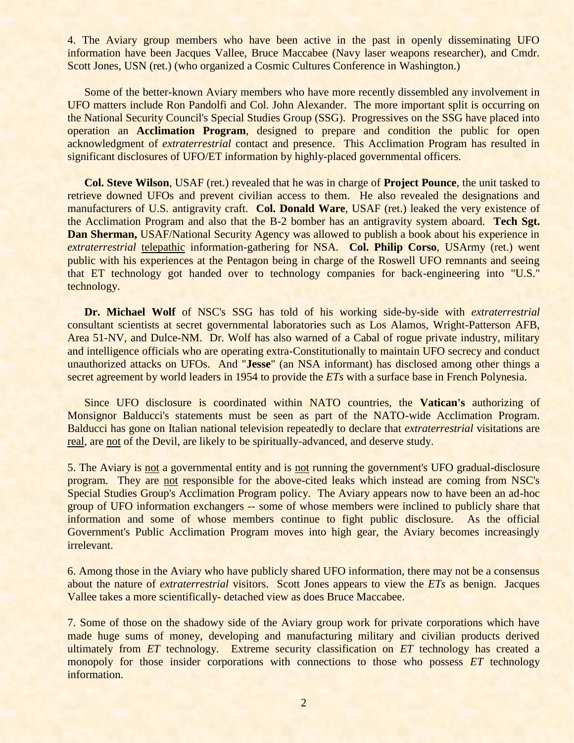4. The Aviary group members who have been active in the past in openly disseminating UFO information have been Jacques Vallee, Bruce Maccabee (Navy laser weapons researcher), and Cmdr. Scott Jones, USN (ret.) (who organized a Cosmic Cultures Conference in Washington.)

Some of the better-known Aviary members who have more recently dissembled any involvement in UFO matters include Ron Pandolfi and Col. John Alexander. The more important split is occurring on the National Security Council's Special Studies Group (SSG). Progressives on the SSG have placed into operation an **Acclimation Program**, designed to prepare and condition the public for open acknowledgment of *extraterrestrial* contact and presence. This Acclimation Program has resulted in significant disclosures of UFO/ET information by highly-placed governmental officers.

**Col. Steve Wilson**, USAF (ret.) revealed that he was in charge of **Project Pounce**, the unit tasked to retrieve downed UFOs and prevent civilian access to them. He also revealed the designations and manufacturers of U.S. antigravity craft. **Col. Donald Ware**, USAF (ret.) leaked the very existence of the Acclimation Program and also that the B-2 bomber has an antigravity system aboard. **Tech Sgt. Dan Sherman, USAF/National Security Agency was allowed to publish a book about his experience in** *extraterrestrial* telepathic information-gathering for NSA. **Col. Philip Corso**, USArmy (ret.) went public with his experiences at the Pentagon being in charge of the Roswell UFO remnants and seeing that ET technology got handed over to technology companies for back-engineering into "U.S." technology.

**Dr. Michael Wolf** of NSC's SSG has told of his working side-by-side with *extraterrestrial* consultant scientists at secret governmental laboratories such as Los Alamos, Wright-Patterson AFB, Area 51-NV, and Dulce-NM. Dr. Wolf has also warned of a Cabal of rogue private industry, military and intelligence officials who are operating extra-Constitutionally to maintain UFO secrecy and conduct unauthorized attacks on UFOs. And "**Jesse**" (an NSA informant) has disclosed among other things a secret agreement by world leaders in 1954 to provide the *ETs* with a surface base in French Polynesia.

Since UFO disclosure is coordinated within NATO countries, the **Vatican's** authorizing of Monsignor Balducci's statements must be seen as part of the NATO-wide Acclimation Program. Balducci has gone on Italian national television repeatedly to declare that *extraterrestrial* visitations are real, are not of the Devil, are likely to be spiritually-advanced, and deserve study.

5. The Aviary is not a governmental entity and is not running the government's UFO gradual-disclosure program. They are not responsible for the above-cited leaks which instead are coming from NSC's Special Studies Group's Acclimation Program policy. The Aviary appears now to have been an ad-hoc group of UFO information exchangers -- some of whose members were inclined to publicly share that information and some of whose members continue to fight public disclosure. As the official Government's Public Acclimation Program moves into high gear, the Aviary becomes increasingly irrelevant.

6. Among those in the Aviary who have publicly shared UFO information, there may not be a consensus about the nature of *extraterrestrial* visitors. Scott Jones appears to view the *ETs* as benign. Jacques Vallee takes a more scientifically- detached view as does Bruce Maccabee.

7. Some of those on the shadowy side of the Aviary group work for private corporations which have made huge sums of money, developing and manufacturing military and civilian products derived ultimately from *ET* technology. Extreme security classification on *ET* technology has created a monopoly for those insider corporations with connections to those who possess *ET* technology information.